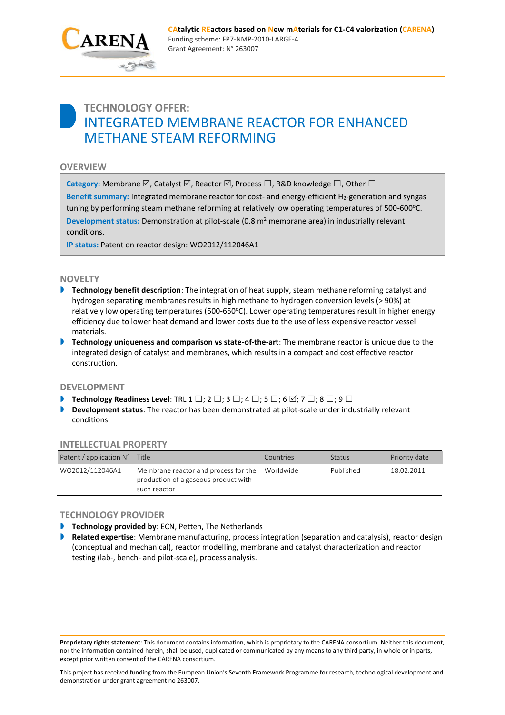

# **TECHNOLOGY OFFER:** INTEGRATED MEMBRANE REACTOR FOR ENHANCED METHANE STEAM REFORMING

## **OVERVIEW**

**Category:** Membrane  $\boxtimes$ , Catalyst  $\boxtimes$ , Reactor  $\boxtimes$ , Process  $\square$ , R&D knowledge  $\square$ , Other  $\square$ 

Benefit summary: Integrated membrane reactor for cost- and energy-efficient H<sub>2</sub>-generation and syngas tuning by performing steam methane reforming at relatively low operating temperatures of 500-600°C. **Development status:** Demonstration at pilot-scale (0.8 m<sup>2</sup> membrane area) in industrially relevant conditions.

**IP status:** Patent on reactor design: WO2012/112046A1

## **NOVELTY**

- **Technology benefit description**: The integration of heat supply, steam methane reforming catalyst and hydrogen separating membranes results in high methane to hydrogen conversion levels (> 90%) at relatively low operating temperatures (500-650°C). Lower operating temperatures result in higher energy efficiency due to lower heat demand and lower costs due to the use of less expensive reactor vessel materials.
- **Technology uniqueness and comparison vs state-of-the-art**: The membrane reactor is unique due to the integrated design of catalyst and membranes, which results in a compact and cost effective reactor construction.

## **DEVELOPMENT**

- **Technology Readiness Level**: TRL 1  $\square$ ; 2  $\square$ ; 3  $\square$ ; 4  $\square$ ; 5  $\square$ ; 6  $\square$ ; 7  $\square$ ; 8  $\square$ ; 9  $\square$
- **Development status**: The reactor has been demonstrated at pilot-scale under industrially relevant conditions.

| <b>INTELLECTUAL PROPERTY</b> |                                                                                              |           |               |               |
|------------------------------|----------------------------------------------------------------------------------------------|-----------|---------------|---------------|
| Patent / application N°      | Title                                                                                        | Countries | <b>Status</b> | Priority date |
| WO2012/112046A1              | Membrane reactor and process for the<br>production of a gaseous product with<br>such reactor | Worldwide | Published     | 18.02.2011    |

## **INTELLECTUAL PROPERTY**

## **TECHNOLOGY PROVIDER**

- **Technology provided by: ECN, Petten, The Netherlands**
- **Related expertise**: Membrane manufacturing, process integration (separation and catalysis), reactor design (conceptual and mechanical), reactor modelling, membrane and catalyst characterization and reactor testing (lab-, bench- and pilot-scale), process analysis.

**Proprietary rights statement**: This document contains information, which is proprietary to the CARENA consortium. Neither this document, nor the information contained herein, shall be used, duplicated or communicated by any means to any third party, in whole or in parts, except prior written consent of the CARENA consortium.

This project has received funding from the European Union's Seventh Framework Programme for research, technological development and demonstration under grant agreement no 263007.